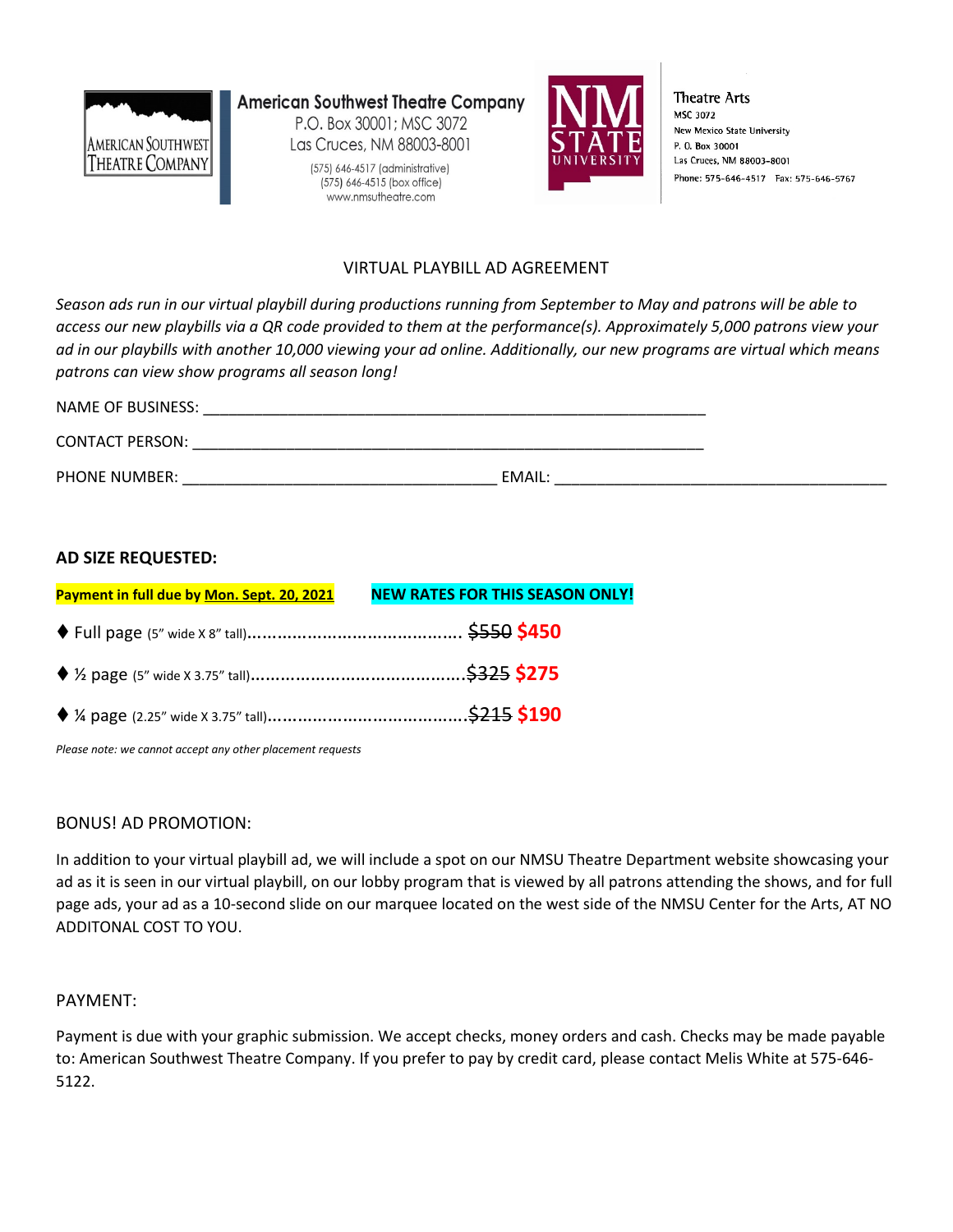

**American Southwest Theatre Company** P.O. Box 30001: MSC 3072 Las Cruces, NM 88003-8001

> (575) 646-4517 (administrative) (575) 646-4515 (box office) www.nmsutheatre.com



**Theatre Arts** MSC 3072 New Mexico State University P. O. Box 30001 Las Cruces, NM 88003-8001 Phone: 575-646-4517 Fax: 575-646-5767

### VIRTUAL PLAYBILL AD AGREEMENT

*Season ads run in our virtual playbill during productions running from September to May and patrons will be able to access our new playbills via a QR code provided to them at the performance(s). Approximately 5,000 patrons view your ad in our playbills with another 10,000 viewing your ad online. Additionally, our new programs are virtual which means patrons can view show programs all season long!*

| NAME OF BUSINESS:      |        |
|------------------------|--------|
| <b>CONTACT PERSON:</b> |        |
| <b>PHONE NUMBER:</b>   | EMAIL: |

#### **AD SIZE REQUESTED:**

| Payment in full due by Mon. Sept. 20, 2021 | <b>NEW RATES FOR THIS SEASON ONLY!</b> |
|--------------------------------------------|----------------------------------------|
|                                            |                                        |
|                                            |                                        |
|                                            |                                        |

*Please note: we cannot accept any other placement requests*

#### BONUS! AD PROMOTION:

In addition to your virtual playbill ad, we will include a spot on our NMSU Theatre Department website showcasing your ad as it is seen in our virtual playbill, on our lobby program that is viewed by all patrons attending the shows, and for full page ads, your ad as a 10-second slide on our marquee located on the west side of the NMSU Center for the Arts, AT NO ADDITONAL COST TO YOU.

#### PAYMENT:

Payment is due with your graphic submission. We accept checks, money orders and cash. Checks may be made payable to: American Southwest Theatre Company. If you prefer to pay by credit card, please contact Melis White at 575-646- 5122.